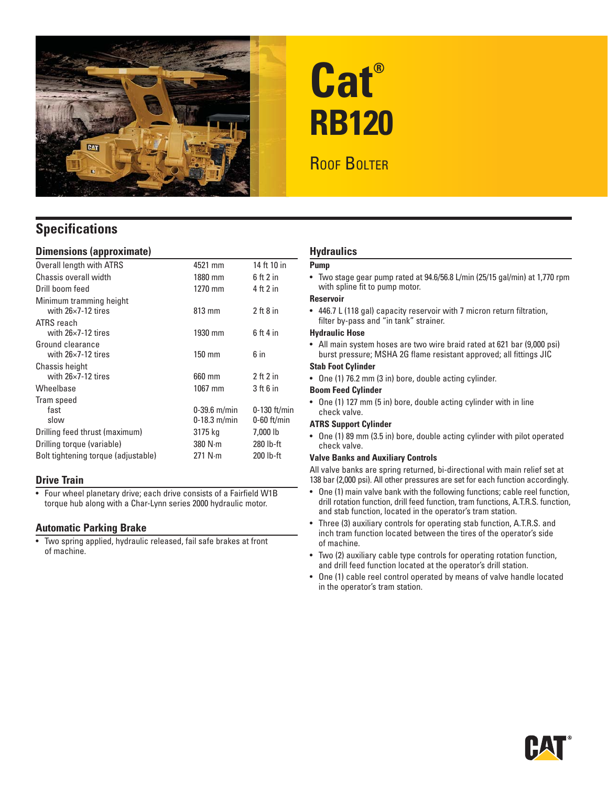

# **Cat® RB120**

# ROOF BOLTER

# **Specifications**

#### **Dimensions (approximate)**

| Overall length with ATRS                                                                            | 4521 mm                            | 14 ft 10 in                        |
|-----------------------------------------------------------------------------------------------------|------------------------------------|------------------------------------|
| Chassis overall width                                                                               | 1880 mm                            | $6$ ft 2 in                        |
| Drill boom feed                                                                                     | 1270 mm                            | 4 ft 2 in                          |
| Minimum tramming height<br>with $26\times7-12$ tires                                                | 813 mm                             | $2$ ft $8$ in                      |
| ATRS reach<br>with $26\times7-12$ tires                                                             | 1930 mm                            | $6$ ft 4 in                        |
| Ground clearance<br>with $26\times7-12$ tires                                                       | 150 mm                             | 6 in                               |
| Chassis height<br>with $26\times7-12$ tires                                                         | 660 mm                             | $2$ ft $2$ in                      |
| Wheelbase                                                                                           | 1067 mm                            | $3$ ft $6$ in                      |
| Tram speed<br>fast<br>slow                                                                          | $0 - 39.6$ m/min<br>$0-18.3$ m/min | $0-130$ ft/min<br>$0-60$ ft/min    |
| Drilling feed thrust (maximum)<br>Drilling torque (variable)<br>Bolt tightening torque (adjustable) | 3175 kg<br>380 N·m<br>271 N·m      | 7,000 lb<br>280 lb-ft<br>200 lb-ft |
|                                                                                                     |                                    |                                    |

#### **Drive Train**

• Four wheel planetary drive; each drive consists of a Fairfield W1B torque hub along with a Char-Lynn series 2000 hydraulic motor.

#### **Automatic Parking Brake**

• Two spring applied, hydraulic released, fail safe brakes at front of machine.

#### **Hydraulics**

#### **Pump**

• Two stage gear pump rated at 94.6/56.8 L/min (25/15 gal/min) at 1,770 rpm with spline fit to pump motor.

#### **Reservoir**

• 446.7 L (118 gal) capacity reservoir with 7 micron return filtration, filter by-pass and "in tank" strainer.

#### **Hydraulic Hose**

• All main system hoses are two wire braid rated at 621 bar (9,000 psi) burst pressure; MSHA 2G flame resistant approved; all fittings JIC

#### **Stab Foot Cylinder**

• One (1) 76.2 mm (3 in) bore, double acting cylinder.

#### **Boom Feed Cylinder**

• One (1) 127 mm (5 in) bore, double acting cylinder with in line check valve.

#### **ATRS Support Cylinder**

• One (1) 89 mm (3.5 in) bore, double acting cylinder with pilot operated check valve.

#### **Valve Banks and Auxiliary Controls**

All valve banks are spring returned, bi-directional with main relief set at 138 bar (2,000 psi). All other pressures are set for each function accordingly.

- One (1) main valve bank with the following functions; cable reel function, drill rotation function, drill feed function, tram functions, A.T.R.S. function, and stab function, located in the operator's tram station.
- Three (3) auxiliary controls for operating stab function, A.T.R.S. and inch tram function located between the tires of the operator's side of machine.
- Two (2) auxiliary cable type controls for operating rotation function, and drill feed function located at the operator's drill station.
- One (1) cable reel control operated by means of valve handle located in the operator's tram station.

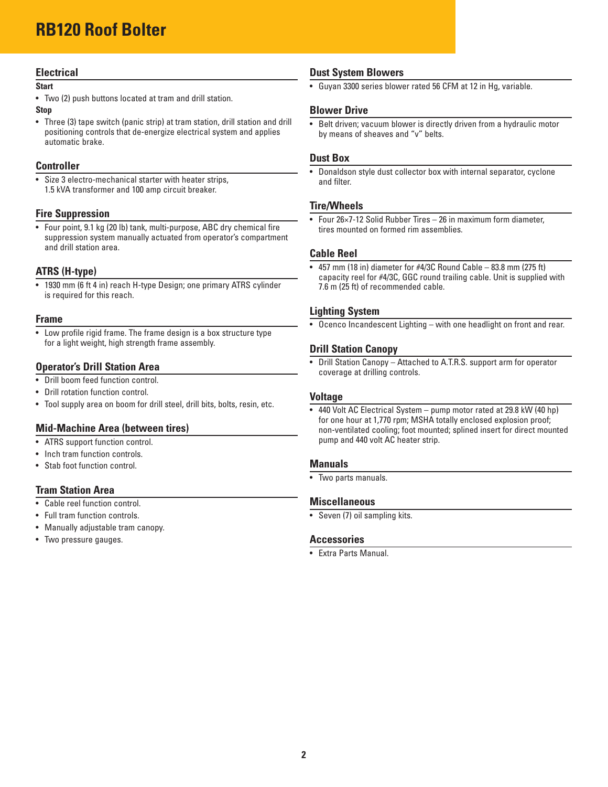# **RB120 Roof Bolter**

#### **Electrical**

#### **Start**

• Two (2) push buttons located at tram and drill station.

#### **Stop**

• Three (3) tape switch (panic strip) at tram station, drill station and drill positioning controls that de-energize electrical system and applies automatic brake.

# **Controller**

Size 3 electro-mechanical starter with heater strips, 1.5 kVA transformer and 100 amp circuit breaker.

# **Fire Suppression**

• Four point, 9.1 kg (20 lb) tank, multi-purpose, ABC dry chemical fire suppression system manually actuated from operator's compartment and drill station area.

# **ATRS (H-type)**

• 1930 mm (6 ft 4 in) reach H-type Design; one primary ATRS cylinder is required for this reach.

#### **Frame**

• Low profile rigid frame. The frame design is a box structure type for a light weight, high strength frame assembly.

# **Operator's Drill Station Area**

- Drill boom feed function control.
- Drill rotation function control.
- Tool supply area on boom for drill steel, drill bits, bolts, resin, etc.

#### **Mid-Machine Area (between tires)**

- ATRS support function control.
- Inch tram function controls.
- Stab foot function control.

# **Tram Station Area**

- Cable reel function control.
- Full tram function controls.
- Manually adjustable tram canopy.
- Two pressure gauges.

# **Dust System Blowers**

• Guyan 3300 series blower rated 56 CFM at 12 in Hg, variable.

#### **Blower Drive**

• Belt driven; vacuum blower is directly driven from a hydraulic motor by means of sheaves and "v" belts.

# **Dust Box**

• Donaldson style dust collector box with internal separator, cyclone and filter.

# **Tire/Wheels**

• Four 26×7-12 Solid Rubber Tires – 26 in maximum form diameter, tires mounted on formed rim assemblies.

#### **Cable Reel**

• 457 mm (18 in) diameter for  $\#4/3C$  Round Cable - 83.8 mm (275 ft) capacity reel for #4/3C, GGC round trailing cable. Unit is supplied with 7.6 m (25 ft) of recommended cable.

# **Lighting System**

• Ocenco Incandescent Lighting – with one headlight on front and rear.

# **Drill Station Canopy**

• Drill Station Canopy – Attached to A.T.R.S. support arm for operator coverage at drilling controls.

#### **Voltage**

• 440 Volt AC Electrical System – pump motor rated at 29.8 kW (40 hp) for one hour at 1,770 rpm; MSHA totally enclosed explosion proof; non-ventilated cooling; foot mounted; splined insert for direct mounted pump and 440 volt AC heater strip.

#### **Manuals**

• Two parts manuals.

#### **Miscellaneous**

• Seven (7) oil sampling kits.

#### **Accessories**

• Extra Parts Manual.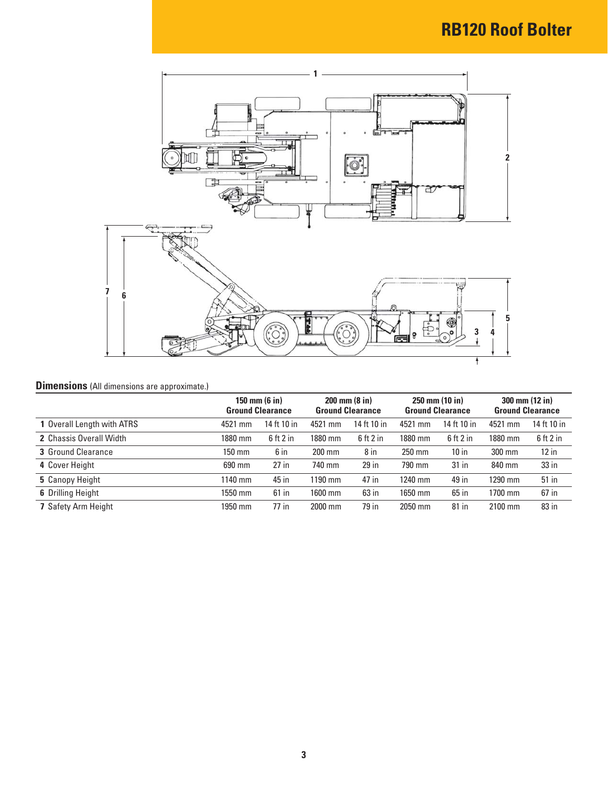

# **Dimensions** (All dimensions are approximate.)

|                                | $150$ mm $(6)$ in)<br><b>Ground Clearance</b> |             | $200 \text{ mm} (8 \text{ in})$<br><b>Ground Clearance</b> |             | $250 \text{ mm} (10 \text{ in})$<br><b>Ground Clearance</b> |             | $300 \text{ mm} (12 \text{ in})$<br><b>Ground Clearance</b> |               |
|--------------------------------|-----------------------------------------------|-------------|------------------------------------------------------------|-------------|-------------------------------------------------------------|-------------|-------------------------------------------------------------|---------------|
| 1 Overall Length with ATRS     | 4521 mm                                       | 14 ft 10 in | 4521 mm                                                    | 14 ft 10 in | 4521 mm                                                     | 14 ft 10 in | 4521 mm                                                     | 14 ft 10 in   |
| <b>2</b> Chassis Overall Width | 1880 mm                                       | $6$ ft 2 in | 1880 mm                                                    | $6$ ft 2 in | 1880 mm                                                     | $6$ ft 2 in | 1880 mm                                                     | $6$ ft $2$ in |
| <b>3</b> Ground Clearance      | 150 mm                                        | 6 in        | $200$ mm                                                   | 8 in        | $250$ mm                                                    | 10 in       | 300 mm                                                      | 12 in         |
| 4 Cover Height                 | 690 mm                                        | $27$ in     | 740 mm                                                     | $29$ in     | 790 mm                                                      | $31$ in     | 840 mm                                                      | 33 in         |
| 5 Canopy Height                | 1140 mm                                       | 45 in       | 1190 mm                                                    | 47 in       | 1240 mm                                                     | 49 in       | 1290 mm                                                     | 51 in         |
| <b>6</b> Drilling Height       | 1550 mm                                       | $61$ in     | 1600 mm                                                    | 63 in       | 1650 mm                                                     | 65 in       | 1700 mm                                                     | 67 in         |
| 7 Safety Arm Height            | 1950 mm                                       | 77 in       | 2000 mm                                                    | 79 in       | 2050 mm                                                     | 81 in       | 2100 mm                                                     | 83 in         |